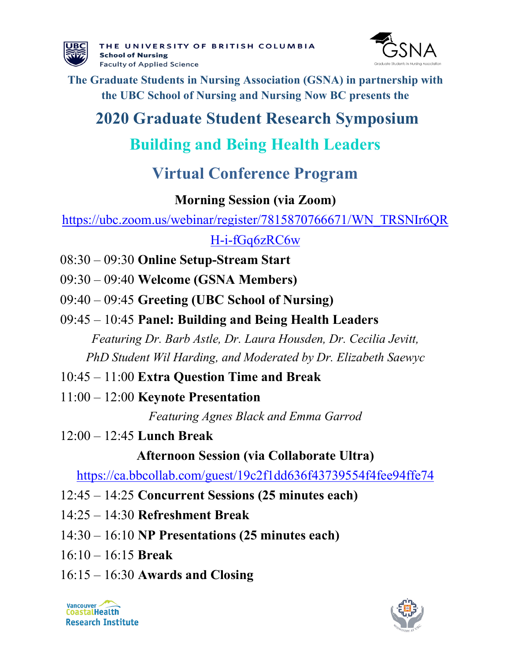



**The Graduate Students in Nursing Association (GSNA) in partnership with the UBC School of Nursing and Nursing Now BC presents the**

# **2020 Graduate Student Research Symposium**

# **Building and Being Health Leaders**

# **Virtual Conference Program**

### **Morning Session (via Zoom)**

[https://ubc.zoom.us/webinar/register/7815870766671/WN\\_TRSNIr6QR](https://ubc.zoom.us/webinar/register/7815870766671/WN_TRSNIr6QRH-i-fGq6zRC6w)

## [H-i-fGq6zRC6w](https://ubc.zoom.us/webinar/register/7815870766671/WN_TRSNIr6QRH-i-fGq6zRC6w)

- 08:30 09:30 **Online Setup-Stream Start**
- 09:30 09:40 **Welcome (GSNA Members)**
- 09:40 09:45 **Greeting (UBC School of Nursing)**
- 09:45 10:45 **Panel: Building and Being Health Leaders** *Featuring Dr. Barb Astle, Dr. Laura Housden, Dr. Cecilia Jevitt,*

*PhD Student Wil Harding, and Moderated by Dr. Elizabeth Saewyc*

- 10:45 11:00 **Extra Question Time and Break**
- 11:00 12:00 **Keynote Presentation**

*Featuring Agnes Black and Emma Garrod*

12:00 – 12:45 **Lunch Break** 

**Afternoon Session (via Collaborate Ultra)**

<https://ca.bbcollab.com/guest/19c2f1dd636f43739554f4fee94ffe74>

- 12:45 14:25 **Concurrent Sessions (25 minutes each)**
- 14:25 14:30 **Refreshment Break**
- 14:30 16:10 **NP Presentations (25 minutes each)**
- 16:10 16:15 **Break**
- 16:15 16:30 **Awards and Closing**

Vancouver **CoastalHealth Research Institute** 

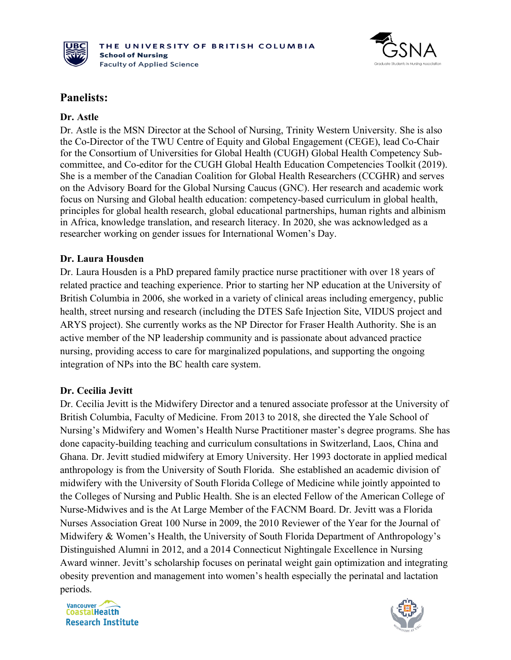



### **Panelists:**

#### **Dr. Astle**

Dr. Astle is the MSN Director at the School of Nursing, Trinity Western University. She is also the Co-Director of the TWU Centre of Equity and Global Engagement (CEGE), lead Co-Chair for the Consortium of Universities for Global Health [\(CUGH\) Global Health Competency Sub](https://www.cugh.org/committees/global-health-competency-subcommittee)[committee,](https://www.cugh.org/committees/global-health-competency-subcommittee) and Co-editor for the [CUGH Global Health Education Competencies Toolkit](https://www.cugh.org/resources/2063) (2019). She is a member of the Canadian Coalition for Global Health Researchers (CCGHR) and serves on the Advisory Board for the [Global Nursing Caucus \(GNC\).](https://www.globalnursingcaucus.org/) Her research and academic work focus on Nursing and Global health education: competency-based curriculum in global health, principles for global health research, global educational partnerships, human rights and albinism in Africa, knowledge translation, and research literacy. In 2020, she was acknowledged as a researcher working on gender issues for International Women's Day.

#### **Dr. Laura Housden**

Dr. Laura Housden is a PhD prepared family practice nurse practitioner with over 18 years of related practice and teaching experience. Prior to starting her NP education at the University of British Columbia in 2006, she worked in a variety of clinical areas including emergency, public health, street nursing and research (including the DTES Safe Injection Site, VIDUS project and ARYS project). She currently works as the NP Director for Fraser Health Authority. She is an active member of the NP leadership community and is passionate about advanced practice nursing, providing access to care for marginalized populations, and supporting the ongoing integration of NPs into the BC health care system.

#### **Dr. Cecilia Jevitt**

Dr. Cecilia Jevitt is the Midwifery Director and a tenured associate professor at the University of British Columbia, Faculty of Medicine. From 2013 to 2018, she directed the Yale School of Nursing's Midwifery and Women's Health Nurse Practitioner master's degree programs. She has done capacity-building teaching and curriculum consultations in Switzerland, Laos, China and Ghana. Dr. Jevitt studied midwifery at Emory University. Her 1993 doctorate in applied medical anthropology is from the University of South Florida. She established an academic division of midwifery with the University of South Florida College of Medicine while jointly appointed to the Colleges of Nursing and Public Health. She is an elected Fellow of the American College of Nurse-Midwives and is the At Large Member of the FACNM Board. Dr. Jevitt was a Florida Nurses Association Great 100 Nurse in 2009, the 2010 Reviewer of the Year for the Journal of Midwifery & Women's Health, the University of South Florida Department of Anthropology's Distinguished Alumni in 2012, and a 2014 Connecticut Nightingale Excellence in Nursing Award winner. Jevitt's scholarship focuses on perinatal weight gain optimization and integrating obesity prevention and management into women's health especially the perinatal and lactation periods.

Vancouver  $\rightarrow$ **CoastalHealth Research Institute** 

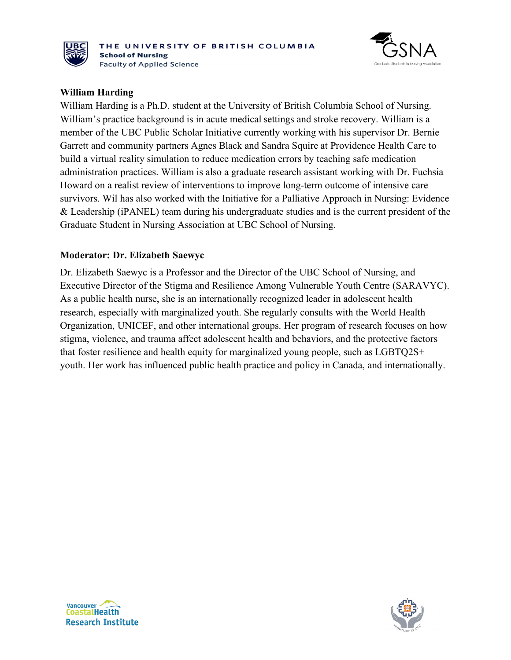



#### **William Harding**

William Harding is a Ph.D. student at the University of British Columbia School of Nursing. William's practice background is in acute medical settings and stroke recovery. William is a member of the UBC Public Scholar Initiative currently working with his supervisor Dr. Bernie Garrett and community partners Agnes Black and Sandra Squire at Providence Health Care to build a virtual reality simulation to reduce medication errors by teaching safe medication administration practices. William is also a graduate research assistant working with Dr. Fuchsia Howard on a realist review of interventions to improve long-term outcome of intensive care survivors. Wil has also worked with the Initiative for a Palliative Approach in Nursing: Evidence & Leadership (iPANEL) team during his undergraduate studies and is the current president of the Graduate Student in Nursing Association at UBC School of Nursing.

#### **Moderator: Dr. Elizabeth Saewyc**

Dr. Elizabeth Saewyc is a Professor and the Director of the UBC School of Nursing, and Executive Director of the Stigma and Resilience Among Vulnerable Youth Centre (SARAVYC). As a public health nurse, she is an internationally recognized leader in adolescent health research, especially with marginalized youth. She regularly consults with the World Health Organization, UNICEF, and other international groups. Her program of research focuses on how stigma, violence, and trauma affect adolescent health and behaviors, and the protective factors that foster resilience and health equity for marginalized young people, such as LGBTQ2S+ youth. Her work has influenced public health practice and policy in Canada, and internationally.



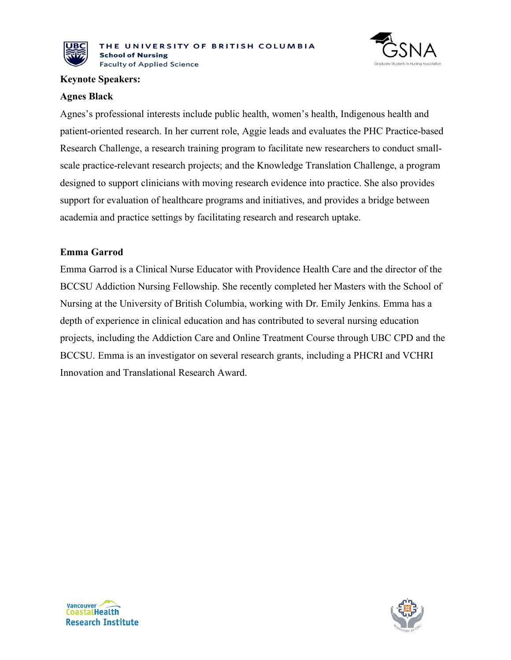



#### **Keynote Speakers:**

#### **Agnes Black**

Agnes's professional interests include public health, women's health, Indigenous health and patient-oriented research. In her current role, Aggie leads and evaluates the PHC Practice-based Research Challenge, a research training program to facilitate new researchers to conduct smallscale practice-relevant research projects; and the Knowledge Translation Challenge, a program designed to support clinicians with moving research evidence into practice. She also provides support for evaluation of healthcare programs and initiatives, and provides a bridge between academia and practice settings by facilitating research and research uptake.

#### **Emma Garrod**

Emma Garrod is a Clinical Nurse Educator with Providence Health Care and the director of the BCCSU Addiction Nursing Fellowship. She recently completed her Masters with the School of Nursing at the University of British Columbia, working with Dr. Emily Jenkins. Emma has a depth of experience in clinical education and has contributed to several nursing education projects, including the Addiction Care and Online Treatment Course through UBC CPD and the BCCSU. Emma is an investigator on several research grants, including a PHCRI and VCHRI Innovation and Translational Research Award.



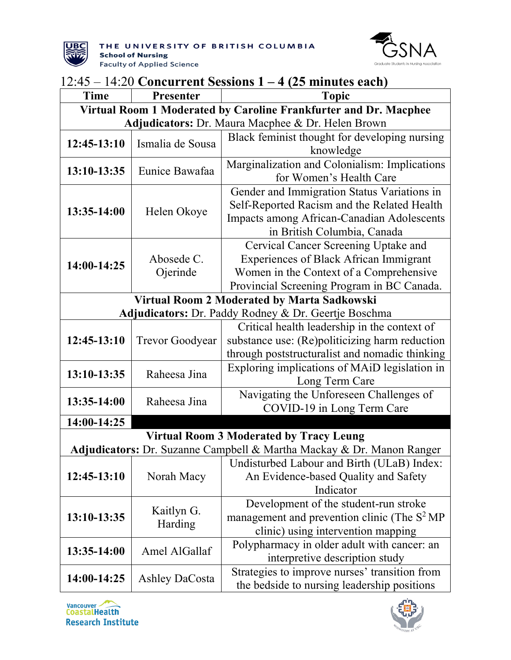



| $12:45 - 14:20$ Concurrent Sessions $1 - 4$ (25 minutes each)    |                        |                                                                                       |  |  |
|------------------------------------------------------------------|------------------------|---------------------------------------------------------------------------------------|--|--|
| Time                                                             | Presenter              | <b>Topic</b>                                                                          |  |  |
| Virtual Room 1 Moderated by Caroline Frankfurter and Dr. Macphee |                        |                                                                                       |  |  |
|                                                                  |                        | Adjudicators: Dr. Maura Macphee & Dr. Helen Brown                                     |  |  |
| 12:45-13:10                                                      | Ismalia de Sousa       | Black feminist thought for developing nursing                                         |  |  |
|                                                                  |                        | knowledge                                                                             |  |  |
| 13:10-13:35                                                      | Eunice Bawafaa         | Marginalization and Colonialism: Implications                                         |  |  |
|                                                                  |                        | for Women's Health Care                                                               |  |  |
|                                                                  |                        | Gender and Immigration Status Variations in                                           |  |  |
| 13:35-14:00                                                      | Helen Okoye            | Self-Reported Racism and the Related Health                                           |  |  |
|                                                                  |                        | Impacts among African-Canadian Adolescents                                            |  |  |
|                                                                  |                        | in British Columbia, Canada                                                           |  |  |
|                                                                  | Abosede C.             | Cervical Cancer Screening Uptake and<br><b>Experiences of Black African Immigrant</b> |  |  |
| 14:00-14:25                                                      | Ojerinde               | Women in the Context of a Comprehensive                                               |  |  |
|                                                                  |                        | Provincial Screening Program in BC Canada.                                            |  |  |
|                                                                  |                        | Virtual Room 2 Moderated by Marta Sadkowski                                           |  |  |
|                                                                  |                        | Adjudicators: Dr. Paddy Rodney & Dr. Geertje Boschma                                  |  |  |
|                                                                  |                        | Critical health leadership in the context of                                          |  |  |
| 12:45-13:10                                                      | <b>Trevor Goodyear</b> | substance use: (Re)politicizing harm reduction                                        |  |  |
|                                                                  |                        | through poststructuralist and nomadic thinking                                        |  |  |
|                                                                  |                        | Exploring implications of MAID legislation in                                         |  |  |
| 13:10-13:35                                                      | Raheesa Jina           | Long Term Care                                                                        |  |  |
|                                                                  |                        | Navigating the Unforeseen Challenges of                                               |  |  |
| 13:35-14:00                                                      | Raheesa Jina           | COVID-19 in Long Term Care                                                            |  |  |
| 14:00-14:25                                                      |                        |                                                                                       |  |  |
|                                                                  |                        | <b>Virtual Room 3 Moderated by Tracy Leung</b>                                        |  |  |
|                                                                  |                        | Adjudicators: Dr. Suzanne Campbell & Martha Mackay & Dr. Manon Ranger                 |  |  |
|                                                                  |                        | Undisturbed Labour and Birth (ULaB) Index:                                            |  |  |
| 12:45-13:10                                                      | Norah Macy             | An Evidence-based Quality and Safety                                                  |  |  |
|                                                                  |                        | Indicator                                                                             |  |  |
|                                                                  |                        | Development of the student-run stroke                                                 |  |  |
| 13:10-13:35                                                      | Kaitlyn G.<br>Harding  | management and prevention clinic (The $S^2 MP$                                        |  |  |
|                                                                  |                        | clinic) using intervention mapping                                                    |  |  |
| 13:35-14:00                                                      | Amel AlGallaf          | Polypharmacy in older adult with cancer: an                                           |  |  |
|                                                                  |                        | interpretive description study                                                        |  |  |
| 14:00-14:25                                                      | <b>Ashley DaCosta</b>  | Strategies to improve nurses' transition from                                         |  |  |
|                                                                  |                        | the bedside to nursing leadership positions                                           |  |  |



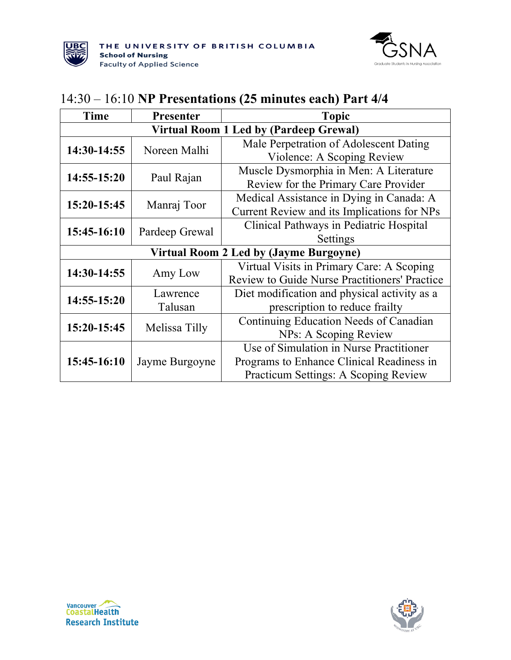



### 14:30 – 16:10 **NP Presentations (25 minutes each) Part 4/4**

| Time                                          | Presenter      | <b>Topic</b>                                         |
|-----------------------------------------------|----------------|------------------------------------------------------|
| Virtual Room 1 Led by (Pardeep Grewal)        |                |                                                      |
| 14:30-14:55                                   | Noreen Malhi   | Male Perpetration of Adolescent Dating               |
|                                               |                | Violence: A Scoping Review                           |
| $14:55 - 15:20$                               | Paul Rajan     | Muscle Dysmorphia in Men: A Literature               |
|                                               |                | Review for the Primary Care Provider                 |
| 15:20-15:45                                   | Manraj Toor    | Medical Assistance in Dying in Canada: A             |
|                                               |                | Current Review and its Implications for NPs          |
| 15:45-16:10                                   | Pardeep Grewal | Clinical Pathways in Pediatric Hospital              |
|                                               |                | Settings                                             |
| <b>Virtual Room 2 Led by (Jayme Burgoyne)</b> |                |                                                      |
| 14:30-14:55                                   | Amy Low        | Virtual Visits in Primary Care: A Scoping            |
|                                               |                | <b>Review to Guide Nurse Practitioners' Practice</b> |
| 14:55-15:20                                   | Lawrence       | Diet modification and physical activity as a         |
|                                               | Talusan        | prescription to reduce frailty                       |
| 15:20-15:45                                   | Melissa Tilly  | Continuing Education Needs of Canadian               |
|                                               |                | NPs: A Scoping Review                                |
| 15:45-16:10                                   | Jayme Burgoyne | Use of Simulation in Nurse Practitioner              |
|                                               |                | Programs to Enhance Clinical Readiness in            |
|                                               |                | Practicum Settings: A Scoping Review                 |



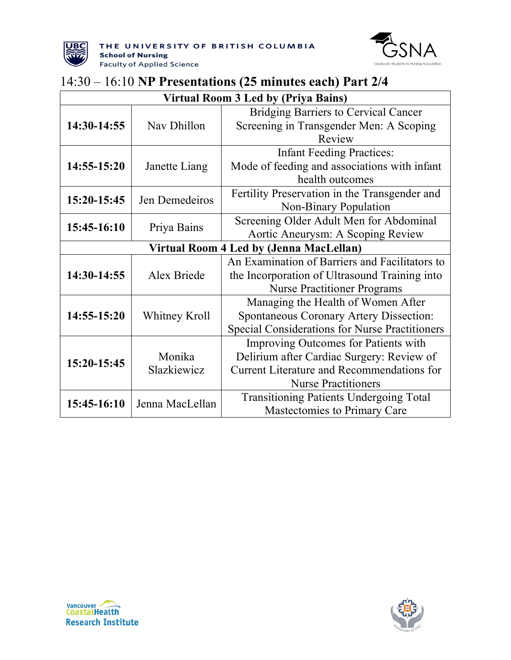



### 14:30 – 16:10 **NP Presentations (25 minutes each) Part 2/4**

| Virtual Room 3 Led by (Priya Bains)     |                       |                                                                                                                                                                      |  |  |
|-----------------------------------------|-----------------------|----------------------------------------------------------------------------------------------------------------------------------------------------------------------|--|--|
| 14:30-14:55                             | Nav Dhillon           | <b>Bridging Barriers to Cervical Cancer</b><br>Screening in Transgender Men: A Scoping<br>Review                                                                     |  |  |
| 14:55-15:20                             | Janette Liang         | <b>Infant Feeding Practices:</b><br>Mode of feeding and associations with infant<br>health outcomes                                                                  |  |  |
| 15:20-15:45                             | Jen Demedeiros        | Fertility Preservation in the Transgender and<br>Non-Binary Population                                                                                               |  |  |
| 15:45-16:10                             | Priya Bains           | Screening Older Adult Men for Abdominal<br>Aortic Aneurysm: A Scoping Review                                                                                         |  |  |
| Virtual Room 4 Led by (Jenna MacLellan) |                       |                                                                                                                                                                      |  |  |
| 14:30-14:55                             | Alex Briede           | An Examination of Barriers and Facilitators to<br>the Incorporation of Ultrasound Training into<br><b>Nurse Practitioner Programs</b>                                |  |  |
| 14:55-15:20                             | Whitney Kroll         | Managing the Health of Women After<br>Spontaneous Coronary Artery Dissection:<br>Special Considerations for Nurse Practitioners                                      |  |  |
| 15:20-15:45                             | Monika<br>Slazkiewicz | Improving Outcomes for Patients with<br>Delirium after Cardiac Surgery: Review of<br><b>Current Literature and Recommendations for</b><br><b>Nurse Practitioners</b> |  |  |
| 15:45-16:10                             | Jenna MacLellan       | <b>Transitioning Patients Undergoing Total</b><br>Mastectomies to Primary Care                                                                                       |  |  |



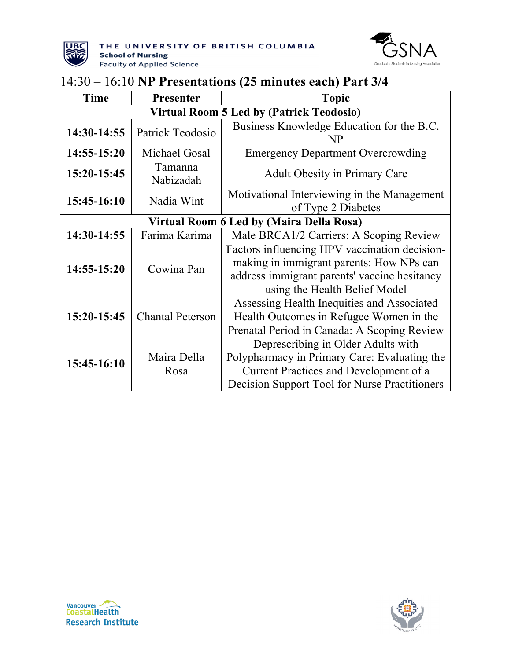



### 14:30 – 16:10 **NP Presentations (25 minutes each) Part 3/4**

| <b>Time</b>                                     | Presenter               | <b>Topic</b>                                                                                                                                                                  |
|-------------------------------------------------|-------------------------|-------------------------------------------------------------------------------------------------------------------------------------------------------------------------------|
| <b>Virtual Room 5 Led by (Patrick Teodosio)</b> |                         |                                                                                                                                                                               |
| 14:30-14:55                                     | Patrick Teodosio        | Business Knowledge Education for the B.C.<br>NP                                                                                                                               |
| 14:55-15:20                                     | Michael Gosal           | <b>Emergency Department Overcrowding</b>                                                                                                                                      |
| 15:20-15:45                                     | Tamanna<br>Nabizadah    | <b>Adult Obesity in Primary Care</b>                                                                                                                                          |
| 15:45-16:10                                     | Nadia Wint              | Motivational Interviewing in the Management<br>of Type 2 Diabetes                                                                                                             |
| Virtual Room 6 Led by (Maira Della Rosa)        |                         |                                                                                                                                                                               |
| 14:30-14:55                                     | Farima Karima           | Male BRCA1/2 Carriers: A Scoping Review                                                                                                                                       |
| 14:55-15:20                                     | Cowina Pan              | Factors influencing HPV vaccination decision-<br>making in immigrant parents: How NPs can<br>address immigrant parents' vaccine hesitancy<br>using the Health Belief Model    |
| 15:20-15:45                                     | <b>Chantal Peterson</b> | Assessing Health Inequities and Associated<br>Health Outcomes in Refugee Women in the<br>Prenatal Period in Canada: A Scoping Review                                          |
| 15:45-16:10                                     | Maira Della<br>Rosa     | Deprescribing in Older Adults with<br>Polypharmacy in Primary Care: Evaluating the<br>Current Practices and Development of a<br>Decision Support Tool for Nurse Practitioners |



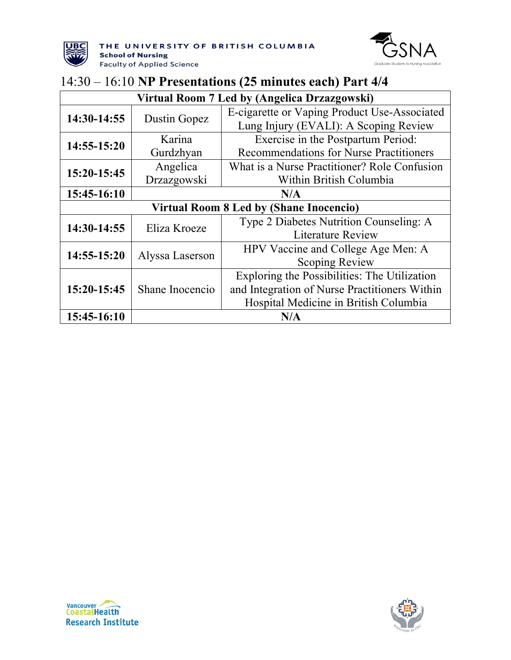



### 14:30 – 16:10 **NP Presentations (25 minutes each) Part 4/4**

| Virtual Room 7 Led by (Angelica Drzazgowski)   |                 |                                                |
|------------------------------------------------|-----------------|------------------------------------------------|
| 14:30-14:55                                    | Dustin Gopez    | E-cigarette or Vaping Product Use-Associated   |
|                                                |                 | Lung Injury (EVALI): A Scoping Review          |
| 14:55-15:20                                    | Karina          | Exercise in the Postpartum Period:             |
|                                                | Gurdzhyan       | <b>Recommendations for Nurse Practitioners</b> |
| 15:20-15:45                                    | Angelica        | What is a Nurse Practitioner? Role Confusion   |
|                                                | Drzazgowski     | Within British Columbia                        |
| 15:45-16:10                                    | N/A             |                                                |
| <b>Virtual Room 8 Led by (Shane Inocencio)</b> |                 |                                                |
| 14:30-14:55                                    | Eliza Kroeze    | Type 2 Diabetes Nutrition Counseling: A        |
|                                                |                 | <b>Literature Review</b>                       |
| 14:55-15:20                                    | Alyssa Laserson | HPV Vaccine and College Age Men: A             |
|                                                |                 | Scoping Review                                 |
| 15:20-15:45                                    | Shane Inocencio | Exploring the Possibilities: The Utilization   |
|                                                |                 | and Integration of Nurse Practitioners Within  |
|                                                |                 | Hospital Medicine in British Columbia          |
| 15:45-16:10                                    |                 | N/A                                            |



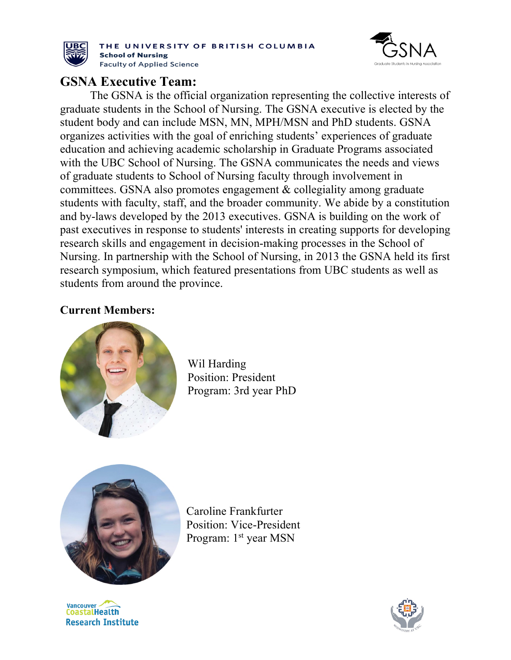

THE UNIVERSITY OF BRITISH COLUMBIA **School of Nursing Faculty of Applied Science** 



### **GSNA Executive Team:**

The GSNA is the official organization representing the collective interests of graduate students in the School of Nursing. The GSNA executive is elected by the student body and can include MSN, MN, MPH/MSN and PhD students. GSNA organizes activities with the goal of enriching students' experiences of graduate education and achieving academic scholarship in Graduate Programs associated with the UBC School of Nursing. The GSNA communicates the needs and views of graduate students to School of Nursing faculty through involvement in committees. GSNA also promotes engagement & collegiality among graduate students with faculty, staff, and the broader community. We abide by a constitution and by-laws developed by the 2013 executives. GSNA is building on the work of past executives in response to students' interests in creating supports for developing research skills and engagement in decision-making processes in the School of Nursing. In partnership with the School of Nursing, in 2013 the GSNA held its first research symposium, which featured presentations from UBC students as well as students from around the province.

### **Current Members:**



Wil Harding Position: President Program: 3rd year PhD



Caroline Frankfurter Position: Vice-President Program: 1<sup>st</sup> year MSN

**Vancouver CoastalHealth Research Institute**